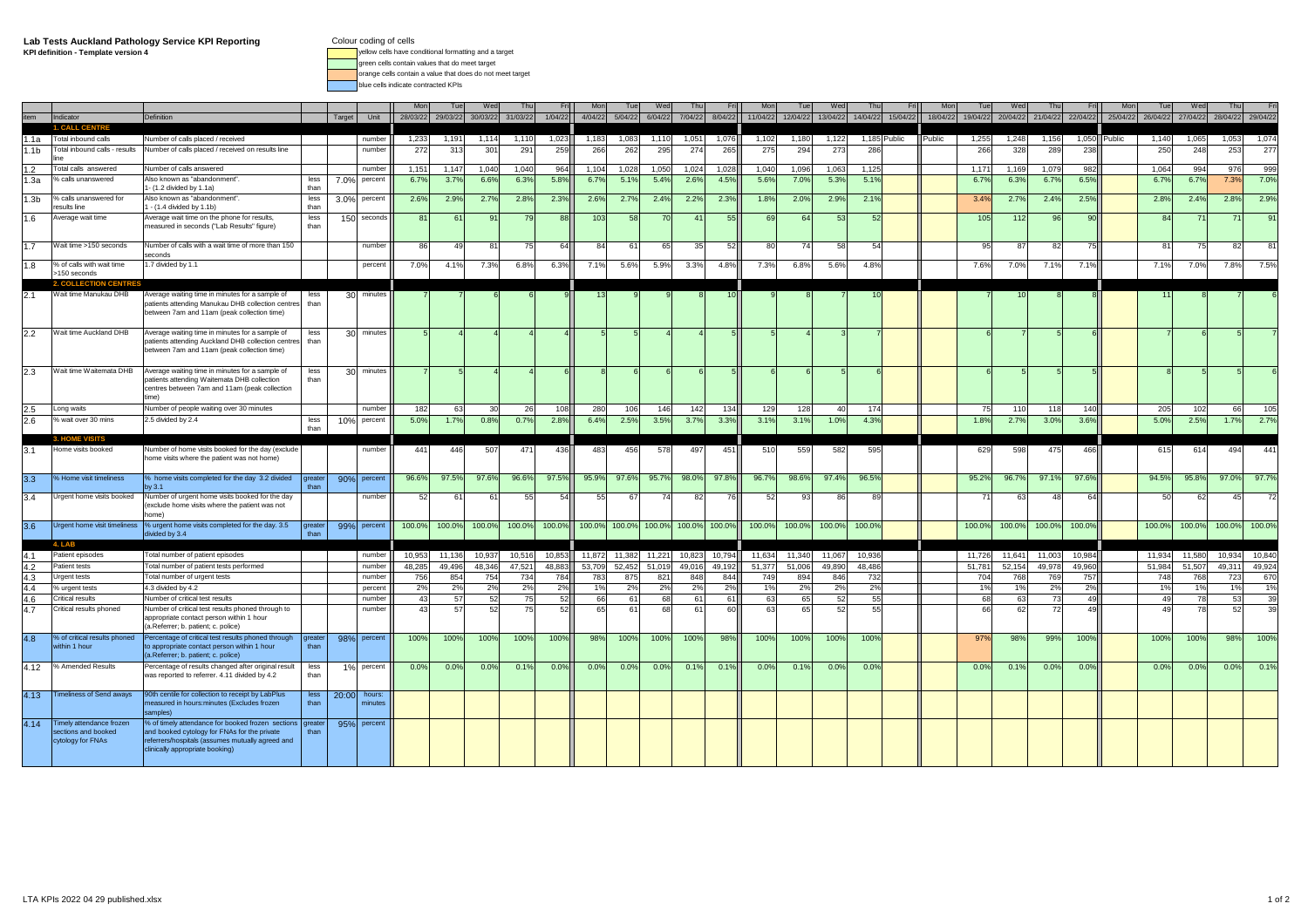## **Lab Tests Auckland Pathology Service KPI Reporting**

**KPI definition - Template version 4**

- Colour coding of cells
	- yellow cells have conditional formatting and a target green cells contain values that do meet target
- orange cells contain a value that does do not meet target

blue cells indicate contracted KPIs

|                  |                                               |                                                                                                   |                |        |                  |               |                  |                  |               |               | M <sub>0</sub>   | Tue                                | We               |                       |                  |                  |                  | We               |                  |              |          |               |               |                   |                  |              |                  |               | Th           | Fri               |
|------------------|-----------------------------------------------|---------------------------------------------------------------------------------------------------|----------------|--------|------------------|---------------|------------------|------------------|---------------|---------------|------------------|------------------------------------|------------------|-----------------------|------------------|------------------|------------------|------------------|------------------|--------------|----------|---------------|---------------|-------------------|------------------|--------------|------------------|---------------|--------------|-------------------|
|                  | Indicator                                     | Definition                                                                                        |                | Target | Unit             | 28/03/22      | 29/03/22         | 30/03/22         | 31/03/22      | 1/04/22       | 4/04/22          | 5/04/22                            | 6/04/22          | 7/04/22               | 8/04/22          | 11/04/22         | 12/04/22         | 13/04/22         | 14/04/22         | 15/04/22     | 18/04/22 | 19/04/22      | 20/04/22      | 21/04/22 22/04/22 |                  | 25/04/22     | 26/04/22         | 27/04/22      |              | 28/04/22 29/04/22 |
|                  | <b>1. CALL CENTRE</b>                         |                                                                                                   |                |        |                  |               |                  |                  |               |               |                  |                                    |                  |                       |                  |                  |                  |                  |                  |              |          |               |               |                   |                  |              |                  |               |              |                   |
| l.1a             | Fotal inbound calls                           | Number of calls placed / received                                                                 |                |        | number           | 1,233         | 1,191            | 1,114            | 1,110         | 1,023         | 1,183            | 1,083                              | 1,110            | 1,051                 | 1,076            | 1,102            | 1,180            | 1,122            |                  | 1,185 Public | Public   | 1,255         | 1,248         | 1,156             |                  | 1,050 Public | 1,140            | 1,065         | 1,053        | 1,074             |
| 1.1b             | otal inbound calls - results                  | Number of calls placed / received on results line                                                 |                |        | number           | 272           | 313              | 301              | 291           | 259           | 266              | 262                                | 295              | 274                   | 265              | 275              | 294              | 273              | 286              |              |          | 266           | 328           | <b>289</b>        | 238              |              | 250              | 248           | 253          | 277               |
| 1.2              | Total calls answered                          | Number of calls answered                                                                          |                |        | numbe            | 1,15          | 1,147            | 1,040            | 1,040         | 964           | 1,104            | 1,028                              | 1,050            | 1,024                 | 1,028            | 1,040            | 1,096            | 1,063            | 1,125            |              |          | 1,171         | 1,169         | 1,079             | 982              |              | 1,064            | 994           | 976          | 999               |
| 1.3a             | % calls unanswered                            | \lso known as "abandonment"                                                                       | less           | 7.0%   | percent          | 6.7%          | 3.7%             | 6.6%             | 6.3%          | 5.8%          | 6.7%             | 5.1%                               | 5.4%             | 2.6%                  | 4.5%             | 5.6%             | 7.0%             | 5.3%             | 5.1%             |              |          | 6.7%          | 6.3%          | 6.7%              | 6.5%             |              | 6.7              | 6.7%          | 7.3%         | 7.0%              |
|                  |                                               | - (1.2 divided by 1.1a)                                                                           | than           |        |                  |               |                  |                  |               |               |                  |                                    |                  |                       |                  |                  |                  |                  |                  |              |          |               |               |                   |                  |              |                  |               |              |                   |
| 1.3 <sub>b</sub> | % calls unanswered for<br>esults line         | lso known as "abandonment".<br>- (1.4 divided by 1.1b)                                            | less<br>than   | 3.0%   | percent          | 2.6%          | 2.9%             | 2.7%             | 2.8%          | 2.3%          | 2.6%             | 2.7%                               | 2.4%             | 2.2%                  | 2.3%             | 1.8%             | 2.0%             | 2.9%             | 2.1%             |              |          | 3.4%          | 2.7%          | 2.4%              | 2.5%             |              | 2.8%             | 2.4%          | 2.8%         | 2.9%              |
| 1.6              | Average wait time                             | Average wait time on the phone for results,                                                       | less           |        | 150 seconds      |               | 61               | 9 <sup>′</sup>   |               | 88            | 103              | 58                                 |                  | $\mathbf{4}^{\prime}$ | 55               | 69               | 64               | -53              | 5                |              |          | 105           | -112          | 96                | 90               |              | 84               |               |              | 91                |
|                  |                                               | neasured in seconds ("Lab Results" figure)                                                        | than           |        |                  |               |                  |                  |               |               |                  |                                    |                  |                       |                  |                  |                  |                  |                  |              |          |               |               |                   |                  |              |                  |               |              |                   |
|                  |                                               |                                                                                                   |                |        |                  |               |                  |                  |               |               |                  |                                    |                  |                       |                  |                  |                  |                  |                  |              |          |               |               |                   |                  |              |                  |               |              |                   |
| 1.7              | Wait time >150 seconds                        | Number of calls with a wait time of more than 150<br>econds                                       |                |        | number           | 86            | 4                | 8'               |               | 64            | 84               | 6                                  | 65               | 35                    | 52               | 80               |                  | -58              | 5                |              |          | 95            | 87            | 82                | 75               |              | 8                | -75           | 82           | 81                |
| 1.8              | % of calls with wait time                     | .7 divided by 1.1                                                                                 |                |        | percent          | 7.0%          | 4.1%             | 7.3%             | 6.8%          | 6.3%          | 7.1%             | 5.6%                               | 5.9%             | 3.3%                  | 4.8%             | 7.3%             | 6.8%             | 5.6%             | 4.8%             |              |          | 7.6%          | 7.0%          | 7.1%              | 7.1%             |              | 7.1%             | 7.0%          | 7.8%         | 7.5%              |
|                  | >150 seconds                                  |                                                                                                   |                |        |                  |               |                  |                  |               |               |                  |                                    |                  |                       |                  |                  |                  |                  |                  |              |          |               |               |                   |                  |              |                  |               |              |                   |
|                  | <b>2. COLLECTION CENTRI</b>                   |                                                                                                   |                |        |                  |               |                  |                  |               |               |                  |                                    |                  |                       |                  |                  |                  |                  |                  |              |          |               |               |                   |                  |              |                  |               |              |                   |
|                  | Wait time Manukau DHB                         | Average waiting time in minutes for a sample of                                                   | less           |        | 30 minutes       |               |                  |                  |               |               |                  |                                    |                  |                       |                  |                  |                  |                  |                  |              |          |               |               |                   |                  |              |                  |               |              |                   |
|                  |                                               | patients attending Manukau DHB collection centres<br>between 7am and 11am (peak collection time)  | than           |        |                  |               |                  |                  |               |               |                  |                                    |                  |                       |                  |                  |                  |                  |                  |              |          |               |               |                   |                  |              |                  |               |              |                   |
|                  |                                               |                                                                                                   |                |        |                  |               |                  |                  |               |               |                  |                                    |                  |                       |                  |                  |                  |                  |                  |              |          |               |               |                   |                  |              |                  |               |              |                   |
| 2.2              | Wait time Auckland DHB                        | Average waiting time in minutes for a sample of                                                   | less           |        | 30 minutes       |               |                  |                  |               |               |                  |                                    |                  |                       |                  |                  |                  |                  |                  |              |          |               |               |                   |                  |              |                  |               |              |                   |
|                  |                                               | patients attending Auckland DHB collection centres                                                | than           |        |                  |               |                  |                  |               |               |                  |                                    |                  |                       |                  |                  |                  |                  |                  |              |          |               |               |                   |                  |              |                  |               |              |                   |
|                  |                                               | between 7am and 11am (peak collection time)                                                       |                |        |                  |               |                  |                  |               |               |                  |                                    |                  |                       |                  |                  |                  |                  |                  |              |          |               |               |                   |                  |              |                  |               |              |                   |
| 2.3              | Wait time Waitemata DHB                       | Average waiting time in minutes for a sample of                                                   | less           |        | 30 minutes       |               |                  |                  |               |               |                  |                                    |                  |                       |                  |                  |                  |                  |                  |              |          |               |               |                   |                  |              |                  |               |              |                   |
|                  |                                               | patients attending Waitemata DHB collection                                                       | than           |        |                  |               |                  |                  |               |               |                  |                                    |                  |                       |                  |                  |                  |                  |                  |              |          |               |               |                   |                  |              |                  |               |              |                   |
|                  |                                               | centres between 7am and 11am (peak collection                                                     |                |        |                  |               |                  |                  |               |               |                  |                                    |                  |                       |                  |                  |                  |                  |                  |              |          |               |               |                   |                  |              |                  |               |              |                   |
|                  | Long waits                                    | Number of people waiting over 30 minutes                                                          |                |        | numbe            | 182           | 63               |                  | -26           | 108           |                  |                                    | 146              | 142                   | 134              | 129              |                  | $\Delta$         | 174              |              |          |               | 110           | 118               |                  |              | 205              |               |              |                   |
| 2.5<br>2.6       | % wait over 30 mins                           | 2.5 divided by 2.4                                                                                | less           | 10%    | percent          | 5.0%          | 1.7%             | 0.8%             | 0.7%          | 2.8%          | 280<br>6.4%      | 106<br>2.5%                        | 3.5%             | 3.7%                  | 3.3%             | 3.1%             | 128<br>3.1%      | 1.0%             | 4.3%             |              |          | 75<br>1.8%    | 2.7%          | 3.0%              | 140<br>3.6%      |              | 5.0%             | 102<br>2.5%   | 66<br>1.7%   | 105<br>2.7%       |
|                  |                                               |                                                                                                   | than           |        |                  |               |                  |                  |               |               |                  |                                    |                  |                       |                  |                  |                  |                  |                  |              |          |               |               |                   |                  |              |                  |               |              |                   |
|                  | -3.1                                          |                                                                                                   |                |        |                  |               |                  |                  |               |               |                  |                                    |                  |                       |                  |                  |                  |                  |                  |              |          |               |               |                   |                  |              |                  |               |              |                   |
| 3.1              | Home visits booked                            | Number of home visits booked for the day (exclude                                                 |                |        | number           | 441           | 446              | 507              | 471           | 436           | 483              | 456                                | 578              | 497                   | 451              | 510              | 559              | 582              | 595              |              |          | 629           | 598           | 475               | 466              |              | 615              | 614           | 494          | 441               |
|                  |                                               | home visits where the patient was not home)                                                       |                |        |                  |               |                  |                  |               |               |                  |                                    |                  |                       |                  |                  |                  |                  |                  |              |          |               |               |                   |                  |              |                  |               |              |                   |
| 3.3              | % Home visit timeliness                       | % home visits completed for the day 3.2 divided                                                   | greate         |        | 90% percent      | 96.6%         | 97.5%            | 97.6%            | 96.6%         | 97.5%         | 95.9%            | 97.6%                              | 95.7%            | 98.0%                 | 97.8%            | 96.7%            | 98.6%            | 97.4%            | 96.5%            |              |          | 95.2%         | 96.7%         | 97.1%             | 97.6%            |              | 94.5%            | 95.8%         | 97.0%        | 97.7%             |
|                  |                                               | by 3.1                                                                                            | than           |        |                  |               |                  |                  |               |               |                  |                                    |                  |                       |                  |                  |                  |                  |                  |              |          |               |               |                   |                  |              |                  |               |              |                   |
| 3.4              | Urgent home visits booked                     | Number of urgent home visits booked for the day                                                   |                |        | number           | 52            | 61               | 61               | 55            | 54            | 55               | 67                                 | 7 <sub>4</sub>   | 82                    | 76               | 52               | 93               | 86               | 89               |              |          |               | 63            | 48                | 64               |              | 50               | 62            | 45           | 72                |
|                  |                                               | exclude home visits where the patient was not                                                     |                |        |                  |               |                  |                  |               |               |                  |                                    |                  |                       |                  |                  |                  |                  |                  |              |          |               |               |                   |                  |              |                  |               |              |                   |
| 3.6              | Urgent home visit timeliness                  | % urgent home visits completed for the day. 3.5                                                   | greate         |        | 99% percent      | 100.0%        | 100.0%           | 100.0%           | 100.0%        | 100.0%        |                  | 100.0% 100.0% 100.0% 100.0% 100.0% |                  |                       |                  | 100.0%           | 100.0%           | 100.0%           | 100.0%           |              |          | 100.0%        | 100.0%        | 100.0%            | 100.0%           |              | 100.0%           | 100.0%        |              | 100.0% 100.0%     |
|                  |                                               | divided by 3.4                                                                                    | than           |        |                  |               |                  |                  |               |               |                  |                                    |                  |                       |                  |                  |                  |                  |                  |              |          |               |               |                   |                  |              |                  |               |              |                   |
|                  | $A \perp A$                                   |                                                                                                   |                |        |                  |               |                  |                  |               |               |                  |                                    |                  |                       |                  |                  |                  |                  |                  |              |          |               |               |                   |                  |              |                  |               |              |                   |
| 4.1              | Patient episodes<br><b>Patient tests</b>      | Fotal number of patient episodes                                                                  |                |        | number<br>number | 10,953        | 11,136<br>49,496 | 10,937<br>48,346 | 10,516        | 10,853        | 11,872<br>53,709 | 11,382                             | 11,221<br>51,019 | 10,823<br>49,016      | 10,794<br>49,192 | 11,634<br>51,377 | 11,340<br>51,006 | 11,067<br>49.890 | 10,936<br>48.486 |              |          | 11,726        | 11,641        | 11,003<br>49,978  | 10,984<br>49,960 |              | 11,934<br>51,984 | 11,580        | 10,934       | 10,840            |
| 4.2<br>4.3       | <b>Urgent tests</b>                           | Total number of patient tests performed<br>rotal number of urgent tests                           |                |        | number           | 48,285<br>756 | 854              | 754              | 47,521<br>734 | 48,883<br>784 | 783              | 52,452<br>875                      | 821              | 848                   | 844              | 749              | 894              | 846              | 732              |              |          | 51,781<br>704 | 52,154<br>768 | 769               | 757              |              | 748              | 51,507<br>768 | 49,31<br>723 | 49,924<br>670     |
| 4.4              | % urgent tests                                | 4.3 divided by 4.2                                                                                |                |        | percent          | 2%            | 2%               | 2%               | 2%            | 2%            | 1%               | 2%                                 | 2%               | 2%                    | 2%               | 1%               | 2%               | 2%               | 2%               |              |          | 1%            | 1%            | 2%                | 2%               |              | 19               | 1%            | 1%           | 1%                |
| 4.6              | Critical results                              | Number of critical test results                                                                   |                |        | numbe            | 43            | 57               | 52               | 75            | 52            | 661              | -61                                | 68               | -61                   | 61               | 63               | 65               | - 52             | 55               |              |          | 68            | 63            | 73                | 49               |              | 49               | 78            | 53           | 39                |
| 4.7              | Critical results phoned                       | Number of critical test results phoned through to                                                 |                |        | number           | 43            | 57               | 52               | 75            | 52            | 65               | .6                                 | -68              | 61                    | 60               | 63               | 65               | -52              | 55               |              |          | 66            | 62            | 72                | 49               |              | 4 <sup>c</sup>   | 78            | -52          | 39                |
|                  |                                               | appropriate contact person within 1 hour                                                          |                |        |                  |               |                  |                  |               |               |                  |                                    |                  |                       |                  |                  |                  |                  |                  |              |          |               |               |                   |                  |              |                  |               |              |                   |
|                  |                                               | (a.Referrer; b. patient; c. police)                                                               |                |        |                  |               |                  |                  |               |               |                  |                                    |                  |                       |                  |                  |                  |                  |                  |              |          |               |               |                   |                  |              |                  |               |              |                   |
| 4.8              | % of critical results phoned<br>within 1 hour | Percentage of critical test results phoned through<br>to appropriate contact person within 1 hour | areate<br>than |        | 98% percent      | 100%          | 100%             | 100%             | 100%          | 100%          | 98%              | 100%                               | 100%             | 100%                  | 98%              | 100%             | 100%             | 100%             | 100%             |              |          | 97%           | 98%           | 99%               | 100%             |              | 100%             | 100%          | 98%          | 100%              |
|                  |                                               | (a.Referrer; b. patient; c. police)                                                               |                |        |                  |               |                  |                  |               |               |                  |                                    |                  |                       |                  |                  |                  |                  |                  |              |          |               |               |                   |                  |              |                  |               |              |                   |
| 4.12             | % Amended Results                             | Percentage of results changed after original result                                               | less           | 1%     | percent          | 0.0%          | 0.0%             | 0.0%             | 0.1%          | 0.0%          | 0.0%             | 0.0%                               | 0.0%             | 0.1%                  | 0.1%             | 0.0%             | 0.1%             | 0.0%             | 0.0%             |              |          | 0.0%          | 0.1%          | 0.0%              | 0.0%             |              | 0.0%             | 0.0%          | 0.0%         | 0.1%              |
|                  |                                               | was reported to referrer. 4.11 divided by 4.2                                                     | than           |        |                  |               |                  |                  |               |               |                  |                                    |                  |                       |                  |                  |                  |                  |                  |              |          |               |               |                   |                  |              |                  |               |              |                   |
| 4.13             | <b>Timeliness of Send aways</b>               | 90th centile for collection to receipt by LabPlus                                                 | less           | 20:00  | hours:           |               |                  |                  |               |               |                  |                                    |                  |                       |                  |                  |                  |                  |                  |              |          |               |               |                   |                  |              |                  |               |              |                   |
|                  |                                               | neasured in hours: minutes (Excludes frozen                                                       | than           |        | minutes          |               |                  |                  |               |               |                  |                                    |                  |                       |                  |                  |                  |                  |                  |              |          |               |               |                   |                  |              |                  |               |              |                   |
|                  |                                               | samples)                                                                                          |                |        |                  |               |                  |                  |               |               |                  |                                    |                  |                       |                  |                  |                  |                  |                  |              |          |               |               |                   |                  |              |                  |               |              |                   |
| 4.14             | Timely attendance frozen                      | % of timely attendance for booked frozen sections                                                 | greate<br>than |        | 95% percent      |               |                  |                  |               |               |                  |                                    |                  |                       |                  |                  |                  |                  |                  |              |          |               |               |                   |                  |              |                  |               |              |                   |
|                  | ections and booked<br>cytology for FNAs       | and booked cytology for FNAs for the private<br>eferrers/hospitals (assumes mutually agreed and   |                |        |                  |               |                  |                  |               |               |                  |                                    |                  |                       |                  |                  |                  |                  |                  |              |          |               |               |                   |                  |              |                  |               |              |                   |
|                  |                                               | clinically appropriate booking)                                                                   |                |        |                  |               |                  |                  |               |               |                  |                                    |                  |                       |                  |                  |                  |                  |                  |              |          |               |               |                   |                  |              |                  |               |              |                   |
|                  |                                               |                                                                                                   |                |        |                  |               |                  |                  |               |               |                  |                                    |                  |                       |                  |                  |                  |                  |                  |              |          |               |               |                   |                  |              |                  |               |              |                   |